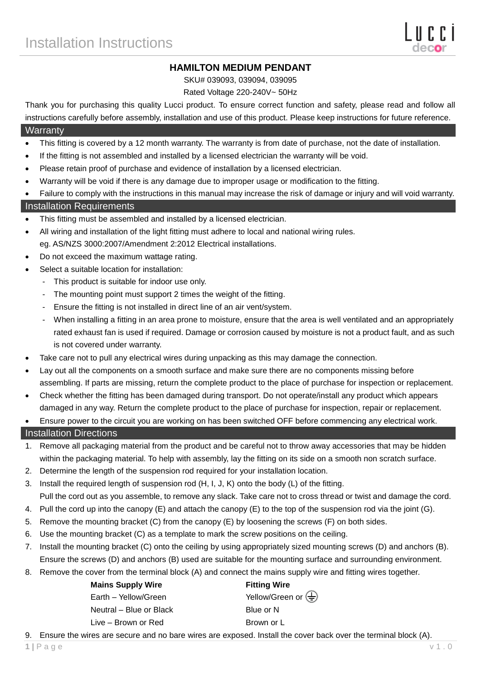# **HAMILTON MEDIUM PENDANT**

SKU# 039093, 039094, 039095

Rated Voltage 220-240V~ 50Hz

Thank you for purchasing this quality Lucci product. To ensure correct function and safety, please read and follow all instructions carefully before assembly, installation and use of this product. Please keep instructions for future reference.

#### **Warranty**

- This fitting is covered by a 12 month warranty. The warranty is from date of purchase, not the date of installation.
- If the fitting is not assembled and installed by a licensed electrician the warranty will be void.
- Please retain proof of purchase and evidence of installation by a licensed electrician.
- Warranty will be void if there is any damage due to improper usage or modification to the fitting.
- Failure to comply with the instructions in this manual may increase the risk of damage or injury and will void warranty.

### Installation Requirements

- This fitting must be assembled and installed by a licensed electrician.
- All wiring and installation of the light fitting must adhere to local and national wiring rules. eg. AS/NZS 3000:2007/Amendment 2:2012 Electrical installations.
- Do not exceed the maximum wattage rating.
- Select a suitable location for installation:
	- This product is suitable for indoor use only.
	- The mounting point must support 2 times the weight of the fitting.
	- Ensure the fitting is not installed in direct line of an air vent/system.
	- When installing a fitting in an area prone to moisture, ensure that the area is well ventilated and an appropriately rated exhaust fan is used if required. Damage or corrosion caused by moisture is not a product fault, and as such is not covered under warranty.
- Take care not to pull any electrical wires during unpacking as this may damage the connection.
- Lay out all the components on a smooth surface and make sure there are no components missing before assembling. If parts are missing, return the complete product to the place of purchase for inspection or replacement.
- Check whether the fitting has been damaged during transport. Do not operate/install any product which appears damaged in any way. Return the complete product to the place of purchase for inspection, repair or replacement.
- Ensure power to the circuit you are working on has been switched OFF before commencing any electrical work.

### Installation Directions

- 1. Remove all packaging material from the product and be careful not to throw away accessories that may be hidden within the packaging material. To help with assembly, lay the fitting on its side on a smooth non scratch surface.
- 2. Determine the length of the suspension rod required for your installation location.
- 3. Install the required length of suspension rod (H, I, J, K) onto the body (L) of the fitting. Pull the cord out as you assemble, to remove any slack. Take care not to cross thread or twist and damage the cord.
- 4. Pull the cord up into the canopy (E) and attach the canopy (E) to the top of the suspension rod via the joint (G).
- 5. Remove the mounting bracket (C) from the canopy (E) by loosening the screws (F) on both sides.
- 6. Use the mounting bracket (C) as a template to mark the screw positions on the ceiling.
- 7. Install the mounting bracket (C) onto the ceiling by using appropriately sized mounting screws (D) and anchors (B). Ensure the screws (D) and anchors (B) used are suitable for the mounting surface and surrounding environment.
- 8. Remove the cover from the terminal block (A) and connect the mains supply wire and fitting wires together.

| <b>Mains Supply Wire</b> | <b>Fitting Wire</b>                             |
|--------------------------|-------------------------------------------------|
| Earth - Yellow/Green     | Yellow/Green or $\left(\frac{\Gamma}{n}\right)$ |
| Neutral – Blue or Black  | Blue or N                                       |
| Live – Brown or Red      | Brown or L                                      |

9. Ensure the wires are secure and no bare wires are exposed. Install the cover back over the terminal block (A).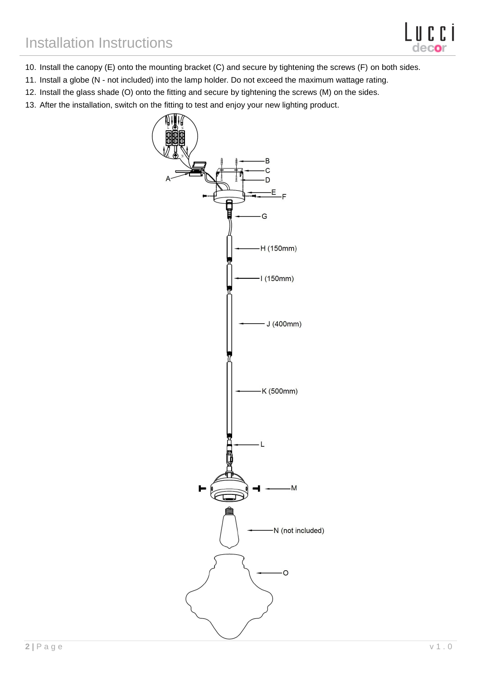- 10. Install the canopy (E) onto the mounting bracket (C) and secure by tightening the screws (F) on both sides.
- 11. Install a globe (N not included) into the lamp holder. Do not exceed the maximum wattage rating.
- 12. Install the glass shade (O) onto the fitting and secure by tightening the screws (M) on the sides.
- 13. After the installation, switch on the fitting to test and enjoy your new lighting product.